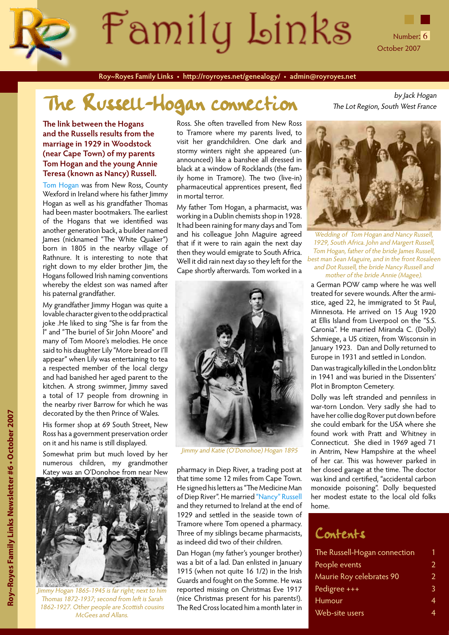

**Roy~Royes Family Links • http://royroyes.net/genealogy/ • admin@royroyes.net**

# The Russell-Hogan connection The Lot Region, South West France

#### **The link between the Hogans and the Russells results from the marriage in 1929 in Woodstock (near Cape Town) of my parents Tom Hogan and the young Annie Teresa (known as Nancy) Russell.**

[Tom Hogan](http://royroyes.net/genealogy/getperson.php?personID=I455&tree=rr_tree) was from New Ross, County Wexford in Ireland where his father Jimmy Hogan as well as his grandfather Thomas had been master bootmakers. The earliest of the Hogans that we identified was another generation back, a builder named James (nicknamed "The White Quaker") born in 1805 in the nearby village of Rathnure. It is interesting to note that right down to my elder brother Jim, the Hogans followed Irish naming conventions whereby the eldest son was named after his paternal grandfather.

My grandfather Jimmy Hogan was quite a lovable character given to the odd practical joke .He liked to sing "She is far from the l" and "The buriel of Sir John Moore" and many of Tom Moore's melodies. He once said to his daughter Lily "More bread or I'll appear" when Lily was entertaining to tea a respected member of the local clergy and had banished her aged parent to the kitchen. A strong swimmer, Jimmy saved a total of 17 people from drowning in the nearby river Barrow for which he was decorated by the then Prince of Wales.

His former shop at 69 South Street, New Ross has a government preservation order on it and his name is still displayed.

Somewhat prim but much loved by her numerous children, my grandmother Katey was an O'Donohoe from near New



Jimmy Hogan 1865-1945 is far right; next to him Thomas 1872-1937; second from left is Sarah 1862-1927. Other people are Scottish cousins McGees and Allans.

Ross. She often travelled from New Ross to Tramore where my parents lived, to visit her grandchildren. One dark and stormy winters night she appeared (unannounced) like a banshee all dressed in black at a window of Rocklands (the family home in Tramore). The two (live-in) pharmaceutical apprentices present, fled in mortal terror.

My father Tom Hogan, a pharmacist, was working in a Dublin chemists shop in 1928. It had been raining for many days and Tom and his colleague John Maguire agreed that if it were to rain again the next day then they would emigrate to South Africa. Well it did rain next day so they left for the Cape shortly afterwards. Tom worked in a



Jimmy and Katie (O'Donohoe) Hogan 1895

pharmacy in Diep River, a trading post at that time some 12 miles from Cape Town. He signed his letters as "The Medicine Man of Diep River". He married ["Nancy" Russell](http://royroyes.net/genealogy/getperson.php?personID=I1083&tree=rr_tree) and they returned to Ireland at the end of 1929 and settled in the seaside town of Tramore where Tom opened a pharmacy. Three of my siblings became pharmacists, as indeed did two of their children.

Dan Hogan (my father's younger brother) was a bit of a lad. Dan enlisted in January 1915 (when not quite 16 1/2) in the Irish Guards and fought on the Somme. He was reported missing on Christmas Eve 1917 (nice Christmas present for his parents!). The Red Cross located him a month later in

The Lot Region, South West France



Wedding of Tom Hogan and Nancy Russell, 1929, South Africa. John and Margert Russell, Tom Hogan, father of the bride James Russell, best man Sean Maguire, and in the front Rosaleen and Dot Russell, the bride Nancy Russell and mother of the bride Annie (Magee).

a German POW camp where he was well treated for severe wounds. After the armistice, aged 22, he immigrated to St Paul, Minnesota. He arrived on 15 Aug 1920 at Ellis Island from Liverpool on the "S.S. Caronia". He married Miranda C. (Dolly) Schmiege, a US citizen, from Wisconsin in January 1923. Dan and Dolly returned to Europe in 1931 and settled in London.

Dan was tragically killed in the London blitz in 1941 and was buried in the Dissenters' Plot in Brompton Cemetery.

Dolly was left stranded and penniless in war-torn London. Very sadly she had to have her collie dog Rover put down before she could embark for the USA where she found work with Pratt and Whitney in Connecticut. She died in 1969 aged 71 in Antrim, New Hampshire at the wheel of her car. This was however parked in her closed garage at the time. The doctor was kind and certified, "accidental carbon monoxide poisoning". Dolly bequested her modest estate to the local old folks home.

### Contents

| The Russell-Hogan connection |               |
|------------------------------|---------------|
| People events                | 2             |
| Maurie Roy celebrates 90     | $\mathcal{L}$ |
| Pedigree +++                 | 3             |
| Humour                       | 4             |
| Web-site users               |               |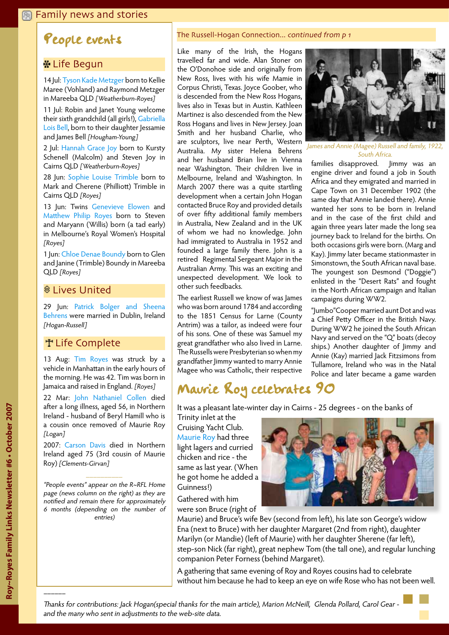### <span id="page-1-0"></span>**Example 2 Is and stories**

### People events

### **H** Life Begun

14 Jul: [Tyson Kade Metzger](http://www.royroyes.net/genealogy/getperson.php?personID=I1583&tree=rr_tree) born to Kellie Maree (Vohland) and Raymond Metzger in Mareeba QLD [Weatherburn-Royes]

11 Jul: Robin and Janet Young welcome their sixth grandchild (all girls!), [Gabriella](http://www.royroyes.net/genealogy/getperson.php?personID=I1511&tree=rr_tree) [Lois Bell,](http://www.royroyes.net/genealogy/getperson.php?personID=I1511&tree=rr_tree) born to their daughter Jessamie and James Bell [Hougham-Young]

2 Jul: [Hannah Grace Joy](http://www.royroyes.net/genealogy/getperson.php?personID=I1582&tree=rr_tree) born to Kursty Schenell (Malcolm) and Steven Joy in Cairns QLD [Weatherburn-Royes]

28 Jun: [Sophie Louise Trimble](http://www.royroyes.net/genealogy/getperson.php?personID=I1585&tree=rr_tree) born to Mark and Cherene (Philliott) Trimble in Cairns QLD [Royes]

13 Jun: Twins [Genevieve Elowen](http://www.royroyes.net/genealogy/getperson.php?personID=I1658&tree=rr_tree) and [Matthew Philip Royes](http://www.royroyes.net/genealogy/getperson.php?personID=I1659&tree=rr_tree) born to Steven and Maryann (Willis) born (a tad early) in Melbourne's Royal Women's Hospital [Royes]

1 Jun: [Chloe Denae Boundy](http://www.royroyes.net/genealogy/getperson.php?personID=I1584&tree=rr_tree) born to Glen and Janine (Trimble) Boundy in Mareeba QLD [Royes]

### *CLives United*

29 Jun: [Patrick Bolger and Sheena](http://www.royroyes.net/genealogy/familygroup.php?familyID=F5450&tree=rr_tree) [Behrens](http://www.royroyes.net/genealogy/familygroup.php?familyID=F5450&tree=rr_tree) were married in Dublin, Ireland [Hogan-Russell]

### **T** Life Complete

13 Aug: [Tim Royes](http://royroyes.net/genealogy/getperson.php?personID=I1589&tree=rr_tree) was struck by a vehicle in Manhattan in the early hours of the morning. He was 42. Tim was born in Jamaica and raised in England. [Royes]

22 Mar: [John Nathaniel Collen](http://royroyes.net/genealogy/getperson.php?personID=I179&tree=rr_tree&tngprint=1) died after a long illness, aged 56, in Northern Ireland - husband of Beryl Hamill who is a cousin once removed of Maurie Roy [Logan]

2007: [Carson Davis](http://royroyes.net/genealogy/getperson.php?personID=I3260&tree=rr_tree) died in Northern Ireland aged 75 (3rd cousin of Maurie Roy) [Clements-Girvan]

"People events" appear on the R~RFL Home page (news column on the right) as they are notified and remain there for approximately 6 months (depending on the number of entries)

#### The Russell-Hogan Connection... continued from p 1

Like many of the Irish, the Hogans travelled far and wide. Alan Stoner on the O'Donohoe side and originally from New Ross, lives with his wife Mamie in Corpus Christi, Texas. Joyce Goober, who is descended from the New Ross Hogans, lives also in Texas but in Austin. Kathleen Martinez is also descended from the New Ross Hogans and lives in New Jersey. Joan Smith and her husband Charlie, who are sculptors, live near Perth, Western Australia. My sister Helena Behrens and her husband Brian live in Vienna near Washington. Their children live in Melbourne, Ireland and Washington. In March 2007 there was a quite startling development when a certain John Hogan contacted Bruce Roy and provided details of over fifty additional family members in Australia, New Zealand and in the UK of whom we had no knowledge. John had immigrated to Australia in 1952 and founded a large family there. John is a retired Regimental Sergeant Major in the Australian Army. This was an exciting and unexpected development. We look to other such feedbacks.

The earliest Russell we know of was James who was born around 1784 and according to the 1851 Census for Larne (County Antrim) was a tailor, as indeed were four of his sons. One of these was Samuel my great grandfather who also lived in Larne. The Russells were Presbyterian so when my grandfather Jimmy wanted to marry Annie Magee who was Catholic, their respective



James and Annie (Magee) Russell and family, 1922, South Africa.

families disapproved. Jimmy was an engine driver and found a job in South Africa and they emigrated and married in Cape Town on 31 December 1902 (the same day that Annie landed there). Annie wanted her sons to be born in Ireland and in the case of the first child and again three years later made the long sea journey back to Ireland for the births. On both occasions girls were born. (Marg and Kay). Jimmy later became stationmaster in Simonstown, the South African naval base. The youngest son Desmond ("Doggie") enlisted in the "Desert Rats" and fought in the North African campaign and Italian campaigns during WW2.

"Jumbo"Cooper married aunt Dot and was a Chief Petty Officer in the British Navy. During WW2 he joined the South African Navy and served on the "Q" boats (decoy ships.) Another daughter of Jimmy and Annie (Kay) married Jack Fitzsimons from Tullamore, Ireland who was in the Natal Police and later became a game warden

### Maurie Roy celebrates 90

It was a pleasant late-winter day in Cairns - 25 degrees - on the banks of

Trinity inlet at the Cruising Yacht Club. [Maurie Roy](http://royroyes.net/genealogy/getperson.php?personID=I832&tree=rr_tree) had three light lagers and curried chicken and rice - the same as last year. (When he got home he added a Guinness!)

Gathered with him were son Bruce (right of



Maurie) and Bruce's wife Bev (second from left), his late son George's widow Ena (next to Bruce) with her daughter Margaret (2nd from right), daughter Marilyn (or Mandie) (left of Maurie) with her daughter Sherene (far left), step-son Nick (far right), great nephew Tom (the tall one), and regular lunching companion Peter Forness (behind Margaret).

A gathering that same evening of Roy and Royes cousins had to celebrate without him because he had to keep an eye on wife Rose who has not been well.

––––––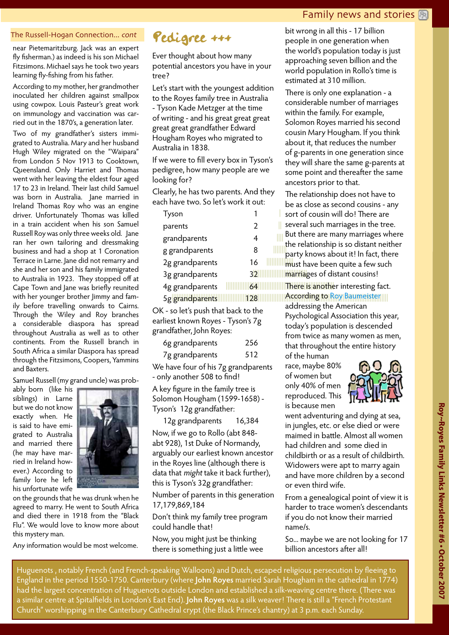### Family news and stories  $\boxed{P_0}$

#### <span id="page-2-0"></span>The Russell-Hogan Connection... cont

near Pietemaritzburg. Jack was an expert fly fisherman.) as indeed is his son Michael Fitzsimons. Michael says he took two years learning fly-fishing from his father.

According to my mother, her grandmother inoculated her children against smallpox using cowpox. Louis Pasteur's great work on immunology and vaccination was carried out in the 1870's, a generation later.

Two of my grandfather's sisters immigrated to Australia. Mary and her husband Hugh Wiley migrated on the "Waipara" from London 5 Nov 1913 to Cooktown, Queensland. Only Harriet and Thomas went with her leaving the eldest four aged 17 to 23 in Ireland. Their last child Samuel was born in Australia. Jane married in Ireland Thomas Roy who was an engine driver. Unfortunately Thomas was killed in a train accident when his son Samuel Russell Roy was only three weeks old. Jane ran her own tailoring and dressmaking business and had a shop at 1 Coronation Terrace in Larne. Jane did not remarry and she and her son and his family immigrated to Australia in 1923. They stopped off at Cape Town and Jane was briefly reunited with her younger brother Jimmy and family before travelling onwards to Cairns. Through the Wiley and Roy branches a considerable diaspora has spread throughout Australia as well as to other continents. From the Russell branch in South Africa a similar Diaspora has spread through the Fitzsimons, Coopers, Yammins and Baxters.

Samuel Russell (my grand uncle) was prob-

ably born (like his siblings) in Larne but we do not know exactly when. He is said to have emigrated to Australia and married there (he may have married in Ireland however.) According to family lore he left his unfortunate wife



on the grounds that he was drunk when he agreed to marry. He went to South Africa and died there in 1918 from the "Black Flu". We would love to know more about this mystery man.

Any information would be most welcome.



Ever thought about how many potential ancestors you have in your tree?

Let's start with the youngest addition to the Royes family tree in Australia - Tyson Kade Metzger at the time of writing - and his great great great great great grandfather Edward Hougham Royes who migrated to Australia in 1838.

If we were to fill every box in Tyson's pedigree, how many people are we looking for?

Clearly, he has two parents. And they each have two. So let's work it out:

| lyson           |               |
|-----------------|---------------|
| parents         | $\mathcal{P}$ |
| grandparents    | 4             |
| g grandparents  | 8             |
| 2g grandparents | 16            |
| 3g grandparents | 32            |
| 4g grandparents | 64            |

5g grandparents 128

OK - so let's push that back to the earliest known Royes - Tyson's 7g grandfather, John Royes:

| 6g grandparents | 256 |
|-----------------|-----|
| 7g grandparents | 512 |

We have four of his 7g grandparents - only another 508 to find!

A key figure in the family tree is Solomon Hougham (1599-1658) - Tyson's 12g grandfather:

12g grandparents 16,384

Now, if we go to Rollo (abt 848 abt 928), 1st Duke of Normandy, arguably our earliest known ancestor in the Royes line (although there is data that *might* take it back further), this is Tyson's 32g grandfather:

Number of parents in this generation 17,179,869,184

Don't think my family tree program could handle that!

Now, you might just be thinking there is something just a little wee

bit wrong in all this - 17 billion people in one generation when the world's population today is just approaching seven billion and the world population in Rollo's time is estimated at 310 million.

There is only one explanation - a considerable number of marriages within the family. For example, Solomon Royes married his second cousin Mary Hougham. If you think about it, that reduces the number of g-parents in one generation since they will share the same g-parents at some point and thereafter the same ancestors prior to that.

**EXAMPLE TRANSITY CONTROLLER CONSTRUCTS** TO THE REPORT OF THE PROPERTY OF THE PROPERTY OF THE PROPERTY OF THE PROPERTY OF THE PROPERTY OF THE PROPERTY OF THE PROPERTY OF THE PROPERTY OF THE PROPERTY OF THE PROPERTY OF THE **Illumparty knows about it!** In fact, there |||||||| The relationship does not have to be as close as second cousins - any sort of cousin will do! There are several such marriages in the tree. But there are many marriages where the relationship is so distant neither must have been quite a few such

|||||||||||||||||||||||||||||||||||||||||||||||||||||||||||||||||||||||||||||||||||||||||||||||||||||||||||||||||||||||||||||||| According to [Roy Baumeister](http://www.psy.fsu.edu/~baumeistertice/goodaboutmen.htm) |||||||||||||||||||||||||||||||||||||||||||||||||||||||||||||||| There is another interesting fact.

|<br>||

addressing the American Psychological Association this year, today's population is descended from twice as many women as men, that throughout the entire history of the human

race, maybe 80% of women but only 40% of men reproduced. This is because men



went adventuring and dying at sea, in jungles, etc. or else died or were maimed in battle. Almost all women had children and some died in childbirth or as a result of childbirth. Widowers were apt to marry again and have more children by a second or even third wife.

From a genealogical point of view it is harder to trace women's descendants if you do not know their married name/s.

So... maybe we are not looking for 17 billion ancestors after all!

Huguenots , notably French (and French-speaking Walloons) and Dutch, escaped religious persecution by fleeing to England in the period 1550-1750. Canterbury (where **John Royes** married Sarah Hougham in the cathedral in 1774) had the largest concentration of Huguenots outside London and established a silk-weaving centre there. (There was a similar centre at Spitalfields in London's East End). **John Royes** was a silk weaver! There is still a "French Protestant Church" worshipping in the Canterbury Cathedral crypt (the Black Prince's chantry) at 3 p.m. each Sunday.